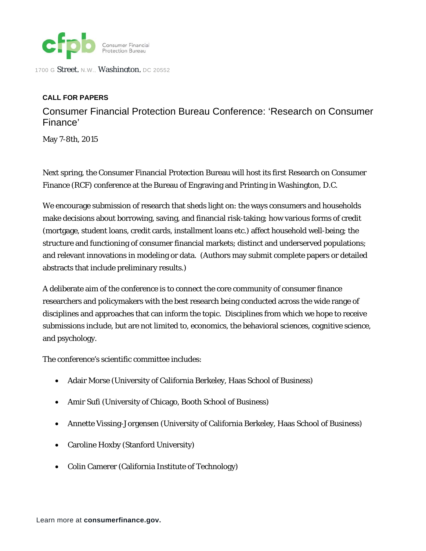

1700 G Street, N.W., Washington, DC 20552

## **CALL FOR PAPERS**

Consumer Financial Protection Bureau Conference: 'Research on Consumer Finance'

May 7-8th, 2015

Next spring, the Consumer Financial Protection Bureau will host its first Research on Consumer Finance (RCF) conference at the Bureau of Engraving and Printing in Washington, D.C.

We encourage submission of research that sheds light on: the ways consumers and households make decisions about borrowing, saving, and financial risk-taking; how various forms of credit (mortgage, student loans, credit cards, installment loans etc.) affect household well-being; the structure and functioning of consumer financial markets; distinct and underserved populations; and relevant innovations in modeling or data. (Authors may submit complete papers or detailed abstracts that include preliminary results.)

A deliberate aim of the conference is to connect the core community of consumer finance researchers and policymakers with the best research being conducted across the wide range of disciplines and approaches that can inform the topic. Disciplines from which we hope to receive submissions include, but are not limited to, economics, the behavioral sciences, cognitive science, and psychology.

The conference's scientific committee includes:

- Adair Morse (University of California Berkeley, Haas School of Business)
- Amir Sufi (University of Chicago, Booth School of Business)
- Annette Vissing-Jorgensen (University of California Berkeley, Haas School of Business)
- Caroline Hoxby (Stanford University)
- Colin Camerer (California Institute of Technology)